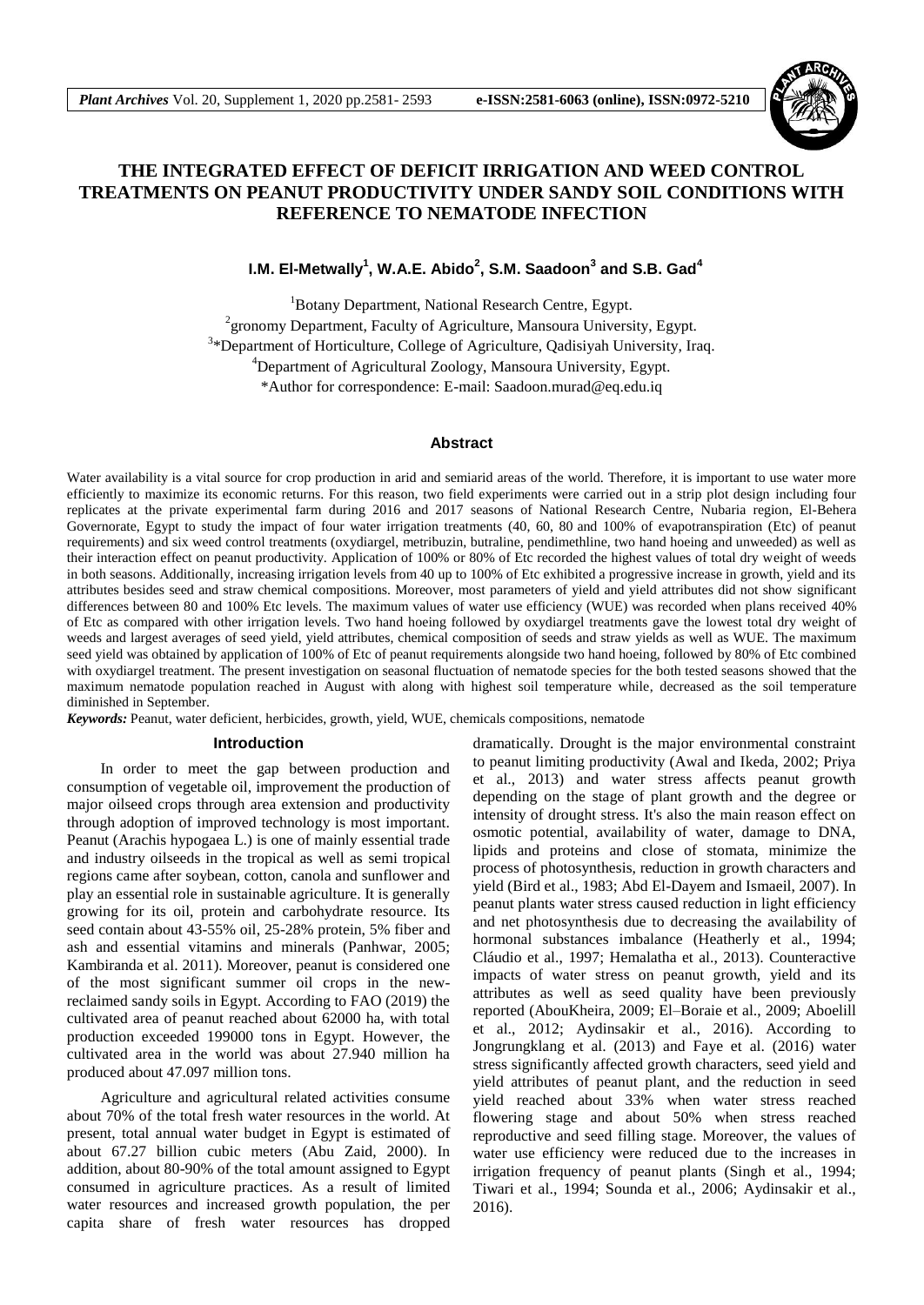

# **THE INTEGRATED EFFECT OF DEFICIT IRRIGATION AND WEED CONTROL TREATMENTS ON PEANUT PRODUCTIVITY UNDER SANDY SOIL CONDITIONS WITH REFERENCE TO NEMATODE INFECTION**

**I.M. El-Metwally<sup>1</sup> , W.A.E. Abido<sup>2</sup> , S.M. Saadoon<sup>3</sup> and S.B. Gad<sup>4</sup>**

<sup>1</sup>Botany Department, National Research Centre, Egypt. <sup>2</sup> gronomy Department, Faculty of Agriculture, Mansoura University, Egypt. <sup>3</sup>\*Department of Horticulture, College of Agriculture, Qadisiyah University, Iraq. <sup>4</sup>Department of Agricultural Zoology, Mansoura University, Egypt. \*Author for correspondence: E-mail: Saadoon.murad@eq.edu.iq

#### **Abstract**

Water availability is a vital source for crop production in arid and semiarid areas of the world. Therefore, it is important to use water more efficiently to maximize its economic returns. For this reason, two field experiments were carried out in a strip plot design including four replicates at the private experimental farm during 2016 and 2017 seasons of National Research Centre, Nubaria region, El-Behera Governorate, Egypt to study the impact of four water irrigation treatments (40, 60, 80 and 100% of evapotranspiration (Etc) of peanut requirements) and six weed control treatments (oxydiargel, metribuzin, butraline, pendimethline, two hand hoeing and unweeded) as well as their interaction effect on peanut productivity. Application of 100% or 80% of Etc recorded the highest values of total dry weight of weeds in both seasons. Additionally, increasing irrigation levels from 40 up to 100% of Etc exhibited a progressive increase in growth, yield and its attributes besides seed and straw chemical compositions. Moreover, most parameters of yield and yield attributes did not show significant differences between 80 and 100% Etc levels. The maximum values of water use efficiency (WUE) was recorded when plans received 40% of Etc as compared with other irrigation levels. Two hand hoeing followed by oxydiargel treatments gave the lowest total dry weight of weeds and largest averages of seed yield, yield attributes, chemical composition of seeds and straw yields as well as WUE. The maximum seed yield was obtained by application of 100% of Etc of peanut requirements alongside two hand hoeing, followed by 80% of Etc combined with oxydiargel treatment. The present investigation on seasonal fluctuation of nematode species for the both tested seasons showed that the maximum nematode population reached in August with along with highest soil temperature while, decreased as the soil temperature diminished in September.

*Keywords:* Peanut, water deficient, herbicides, growth, yield, WUE, chemicals compositions, nematode

### **Introduction**

In order to meet the gap between production and consumption of vegetable oil, improvement the production of major oilseed crops through area extension and productivity through adoption of improved technology is most important. Peanut (Arachis hypogaea L.) is one of mainly essential trade and industry oilseeds in the tropical as well as semi tropical regions came after soybean, cotton, canola and sunflower and play an essential role in sustainable agriculture. It is generally growing for its oil, protein and carbohydrate resource. Its seed contain about 43-55% oil, 25-28% protein, 5% fiber and ash and essential vitamins and minerals (Panhwar, 2005; Kambiranda et al. 2011). Moreover, peanut is considered one of the most significant summer oil crops in the newreclaimed sandy soils in Egypt. According to FAO (2019) the cultivated area of peanut reached about 62000 ha, with total production exceeded 199000 tons in Egypt. However, the cultivated area in the world was about 27.940 million ha produced about 47.097 million tons.

Agriculture and agricultural related activities consume about 70% of the total fresh water resources in the world. At present, total annual water budget in Egypt is estimated of about 67.27 billion cubic meters (Abu Zaid, 2000). In addition, about 80-90% of the total amount assigned to Egypt consumed in agriculture practices. As a result of limited water resources and increased growth population, the per capita share of fresh water resources has dropped dramatically. Drought is the major environmental constraint to peanut limiting productivity (Awal and Ikeda, 2002; Priya et al., 2013) and water stress affects peanut growth depending on the stage of plant growth and the degree or intensity of drought stress. It's also the main reason effect on osmotic potential, availability of water, damage to DNA, lipids and proteins and close of stomata, minimize the process of photosynthesis, reduction in growth characters and yield (Bird et al., 1983; Abd El-Dayem and Ismaeil, 2007). In peanut plants water stress caused reduction in light efficiency and net photosynthesis due to decreasing the availability of hormonal substances imbalance (Heatherly et al., 1994; Cláudio et al., 1997; Hemalatha et al., 2013). Counteractive impacts of water stress on peanut growth, yield and its attributes as well as seed quality have been previously reported (AbouKheira, 2009; El–Boraie et al., 2009; Aboelill et al., 2012; Aydinsakir et al., 2016). According to Jongrungklang et al. (2013) and Faye et al. (2016) water stress significantly affected growth characters, seed yield and yield attributes of peanut plant, and the reduction in seed yield reached about 33% when water stress reached flowering stage and about 50% when stress reached reproductive and seed filling stage. Moreover, the values of water use efficiency were reduced due to the increases in irrigation frequency of peanut plants (Singh et al., 1994; Tiwari et al., 1994; Sounda et al., 2006; Aydinsakir et al., 2016).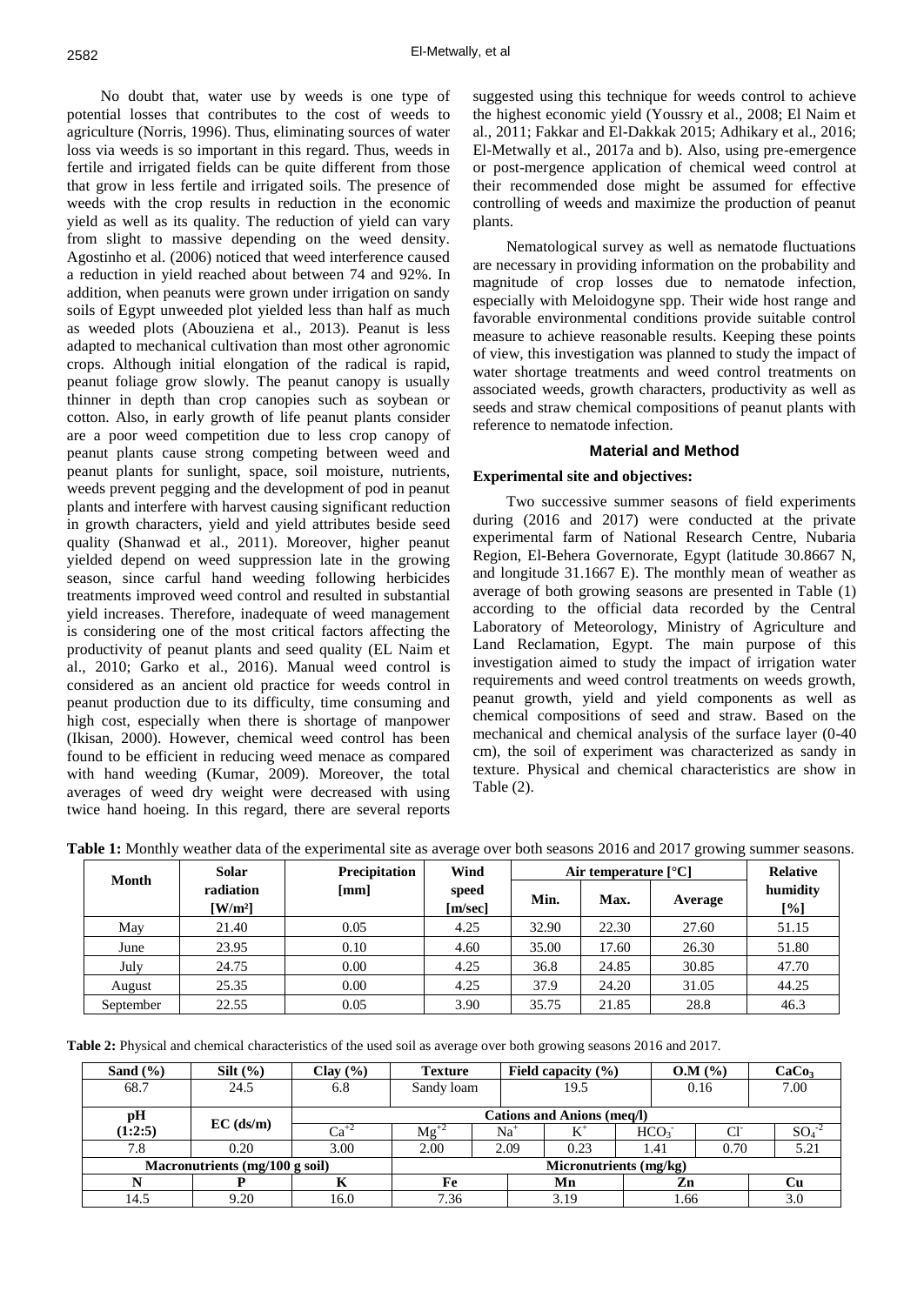No doubt that, water use by weeds is one type of potential losses that contributes to the cost of weeds to agriculture (Norris, 1996). Thus, eliminating sources of water loss via weeds is so important in this regard. Thus, weeds in fertile and irrigated fields can be quite different from those that grow in less fertile and irrigated soils. The presence of weeds with the crop results in reduction in the economic yield as well as its quality. The reduction of yield can vary from slight to massive depending on the weed density. Agostinho et al. (2006) noticed that weed interference caused a reduction in yield reached about between 74 and 92%. In addition, when peanuts were grown under irrigation on sandy soils of Egypt unweeded plot yielded less than half as much as weeded plots (Abouziena et al., 2013). Peanut is less adapted to mechanical cultivation than most other agronomic crops. Although initial elongation of the radical is rapid, peanut foliage grow slowly. The peanut canopy is usually thinner in depth than crop canopies such as soybean or cotton. Also, in early growth of life peanut plants consider are a poor weed competition due to less crop canopy of peanut plants cause strong competing between weed and peanut plants for sunlight, space, soil moisture, nutrients, weeds prevent pegging and the development of pod in peanut plants and interfere with harvest causing significant reduction in growth characters, yield and yield attributes beside seed quality (Shanwad et al., 2011). Moreover, higher peanut yielded depend on weed suppression late in the growing season, since carful hand weeding following herbicides treatments improved weed control and resulted in substantial yield increases. Therefore, inadequate of weed management is considering one of the most critical factors affecting the productivity of peanut plants and seed quality (EL Naim et al., 2010; Garko et al., 2016). Manual weed control is considered as an ancient old practice for weeds control in peanut production due to its difficulty, time consuming and high cost, especially when there is shortage of manpower (Ikisan, 2000). However, chemical weed control has been found to be efficient in reducing weed menace as compared with hand weeding (Kumar, 2009). Moreover, the total averages of weed dry weight were decreased with using twice hand hoeing. In this regard, there are several reports suggested using this technique for weeds control to achieve the highest economic yield (Youssry et al., 2008; El Naim et al., 2011; Fakkar and El-Dakkak 2015; Adhikary et al., 2016; El-Metwally et al., 2017a and b). Also, using pre-emergence or post-mergence application of chemical weed control at their recommended dose might be assumed for effective controlling of weeds and maximize the production of peanut plants.

Nematological survey as well as nematode fluctuations are necessary in providing information on the probability and magnitude of crop losses due to nematode infection, especially with Meloidogyne spp. Their wide host range and favorable environmental conditions provide suitable control measure to achieve reasonable results. Keeping these points of view, this investigation was planned to study the impact of water shortage treatments and weed control treatments on associated weeds, growth characters, productivity as well as seeds and straw chemical compositions of peanut plants with reference to nematode infection.

## **Material and Method**

# **Experimental site and objectives:**

Two successive summer seasons of field experiments during (2016 and 2017) were conducted at the private experimental farm of National Research Centre, Nubaria Region, El-Behera Governorate, Egypt (latitude 30.8667 N, and longitude 31.1667 E). The monthly mean of weather as average of both growing seasons are presented in Table (1) according to the official data recorded by the Central Laboratory of Meteorology, Ministry of Agriculture and Land Reclamation, Egypt. The main purpose of this investigation aimed to study the impact of irrigation water requirements and weed control treatments on weeds growth, peanut growth, yield and yield components as well as chemical compositions of seed and straw. Based on the mechanical and chemical analysis of the surface layer (0-40 cm), the soil of experiment was characterized as sandy in texture. Physical and chemical characteristics are show in Table (2).

|  | Table 1: Monthly weather data of the experimental site as average over both seasons 2016 and 2017 growing summer seasons. |
|--|---------------------------------------------------------------------------------------------------------------------------|
|  |                                                                                                                           |

| <b>Month</b> | <b>Solar</b>                               | <b>Precipitation</b> | Wind             |       | Air temperature $[^{\circ}C]$ |         | <b>Relative</b> |
|--------------|--------------------------------------------|----------------------|------------------|-------|-------------------------------|---------|-----------------|
|              | radiation<br>$\left[\mathrm{W/m^2}\right]$ | [mm]                 | speed<br>[m/sec] | Min.  | Max.                          | Average | humidity<br>[%] |
| May          | 21.40                                      | 0.05                 | 4.25             | 32.90 | 22.30                         | 27.60   | 51.15           |
| June         | 23.95                                      | 0.10                 | 4.60             | 35.00 | 17.60                         | 26.30   | 51.80           |
| July         | 24.75                                      | 0.00                 | 4.25             | 36.8  | 24.85                         | 30.85   | 47.70           |
| August       | 25.35                                      | 0.00                 | 4.25             | 37.9  | 24.20                         | 31.05   | 44.25           |
| September    | 22.55                                      | 0.05                 | 3.90             | 35.75 | 21.85                         | 28.8    | 46.3            |

**Table 2:** Physical and chemical characteristics of the used soil as average over both growing seasons 2016 and 2017.

| Sand $(\% )$ | $Silt (\%)$                              | Clav(%)   | <b>Texture</b>                    | Field capacity $(\% )$ |                  | O.M (%)        | CaCo <sub>3</sub> |  |  |  |  |  |  |  |
|--------------|------------------------------------------|-----------|-----------------------------------|------------------------|------------------|----------------|-------------------|--|--|--|--|--|--|--|
| 68.7         | 24.5                                     | 6.8       | Sandy loam                        | 0.16<br>19.5           |                  |                | 7.00              |  |  |  |  |  |  |  |
| pH           | $EC$ (ds/m)                              |           | <b>Cations and Anions (meq/l)</b> |                        |                  |                |                   |  |  |  |  |  |  |  |
| (1:2:5)      |                                          | $Ca^{+2}$ | $Mg^{+2}$                         | Na                     | HCO <sub>3</sub> | C <sub>1</sub> | $SO_4$            |  |  |  |  |  |  |  |
| 7.8          | 0.20                                     | 3.00      | 2.00                              | 2.09<br>0.23           | 1.41             | 0.70           | 5.21              |  |  |  |  |  |  |  |
|              | Macronutrients $(mg/100 g \text{ soil})$ |           | Micronutrients (mg/kg)            |                        |                  |                |                   |  |  |  |  |  |  |  |
|              |                                          |           | Fe                                | Mn                     | Zn               |                | Cu                |  |  |  |  |  |  |  |
| 14.5         | 9.20                                     | 16.0      | 7.36                              | 3.19                   | 1.66             |                | 3.0               |  |  |  |  |  |  |  |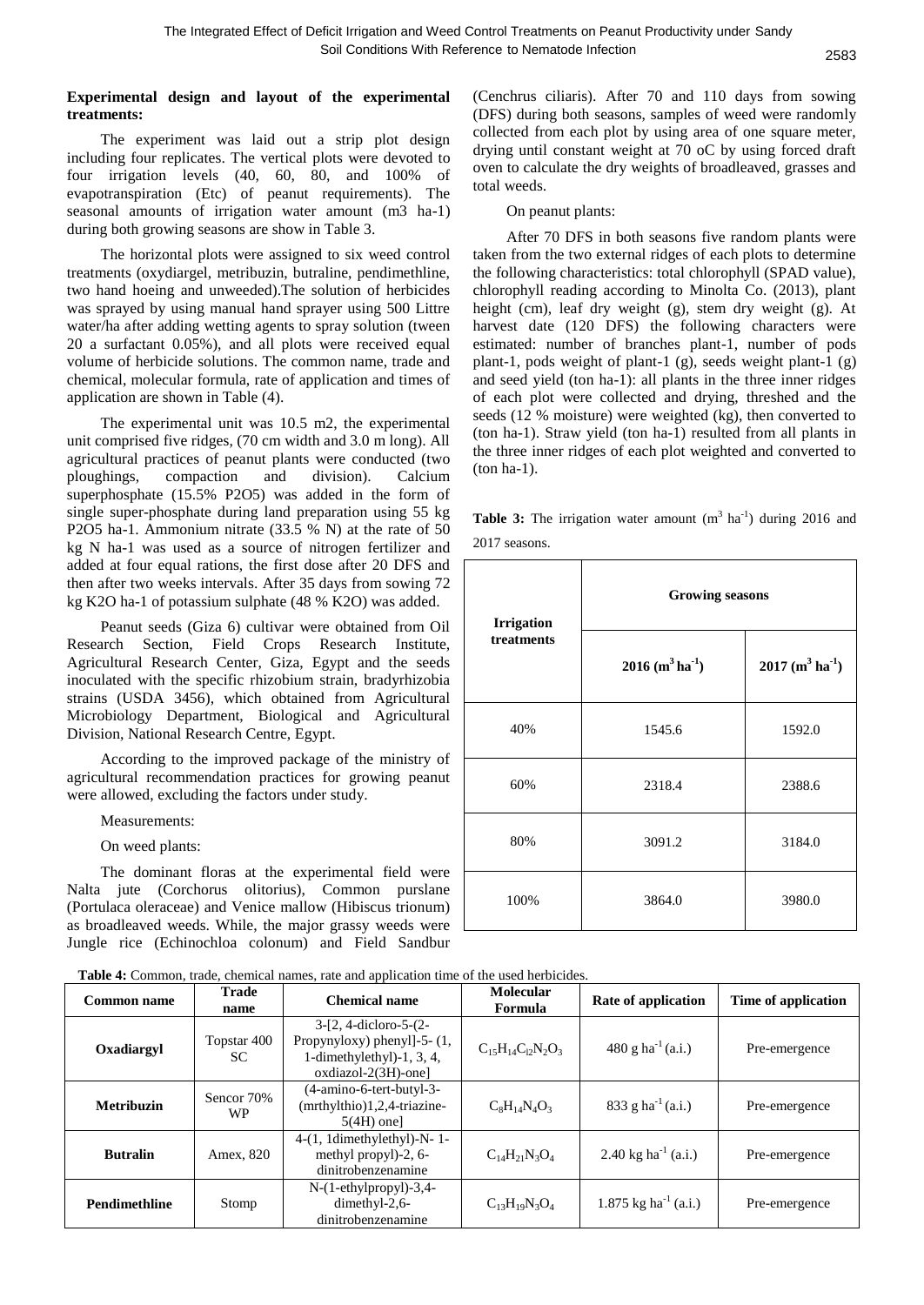# **Experimental design and layout of the experimental treatments:**

The experiment was laid out a strip plot design including four replicates. The vertical plots were devoted to four irrigation levels (40, 60, 80, and 100% of evapotranspiration (Etc) of peanut requirements). The seasonal amounts of irrigation water amount (m3 ha-1) during both growing seasons are show in Table 3.

The horizontal plots were assigned to six weed control treatments (oxydiargel, metribuzin, butraline, pendimethline, two hand hoeing and unweeded).The solution of herbicides was sprayed by using manual hand sprayer using 500 Littre water/ha after adding wetting agents to spray solution (tween 20 a surfactant 0.05%), and all plots were received equal volume of herbicide solutions. The common name, trade and chemical, molecular formula, rate of application and times of application are shown in Table (4).

The experimental unit was 10.5 m2, the experimental unit comprised five ridges, (70 cm width and 3.0 m long). All agricultural practices of peanut plants were conducted (two ploughings, compaction and division). Calcium superphosphate (15.5% P2O5) was added in the form of single super-phosphate during land preparation using 55 kg P2O5 ha-1. Ammonium nitrate (33.5 % N) at the rate of 50 kg N ha-1 was used as a source of nitrogen fertilizer and added at four equal rations, the first dose after 20 DFS and then after two weeks intervals. After 35 days from sowing 72 kg K2O ha-1 of potassium sulphate (48 % K2O) was added.

Peanut seeds (Giza 6) cultivar were obtained from Oil Research Section, Field Crops Research Institute, Agricultural Research Center, Giza, Egypt and the seeds inoculated with the specific rhizobium strain, bradyrhizobia strains (USDA 3456), which obtained from Agricultural Microbiology Department, Biological and Agricultural Division, National Research Centre, Egypt.

According to the improved package of the ministry of agricultural recommendation practices for growing peanut were allowed, excluding the factors under study.

Measurements:

On weed plants:

The dominant floras at the experimental field were Nalta jute (Corchorus olitorius), Common purslane (Portulaca oleraceae) and Venice mallow (Hibiscus trionum) as broadleaved weeds. While, the major grassy weeds were Jungle rice (Echinochloa colonum) and Field Sandbur

(Cenchrus ciliaris). After 70 and 110 days from sowing (DFS) during both seasons, samples of weed were randomly collected from each plot by using area of one square meter, drying until constant weight at 70 oC by using forced draft oven to calculate the dry weights of broadleaved, grasses and total weeds.

On peanut plants:

After 70 DFS in both seasons five random plants were taken from the two external ridges of each plots to determine the following characteristics: total chlorophyll (SPAD value), chlorophyll reading according to Minolta Co. (2013), plant height (cm), leaf dry weight (g), stem dry weight (g). At harvest date (120 DFS) the following characters were estimated: number of branches plant-1, number of pods plant-1, pods weight of plant-1 (g), seeds weight plant-1 (g) and seed yield (ton ha-1): all plants in the three inner ridges of each plot were collected and drying, threshed and the seeds (12 % moisture) were weighted (kg), then converted to (ton ha-1). Straw yield (ton ha-1) resulted from all plants in the three inner ridges of each plot weighted and converted to (ton ha-1).

**Table 3:** The irrigation water amount  $(m^3 \text{ ha}^{-1})$  during 2016 and 2017 seasons.

| <b>Irrigation</b> | <b>Growing seasons</b>                    |                                           |  |  |  |  |  |  |  |
|-------------------|-------------------------------------------|-------------------------------------------|--|--|--|--|--|--|--|
| treatments        | $2016$ (m <sup>3</sup> ha <sup>-1</sup> ) | $2017$ (m <sup>3</sup> ha <sup>-1</sup> ) |  |  |  |  |  |  |  |
| 40%               | 1545.6                                    | 1592.0                                    |  |  |  |  |  |  |  |
| 60%               | 2318.4                                    | 2388.6                                    |  |  |  |  |  |  |  |
| 80%               | 3091.2                                    | 3184.0                                    |  |  |  |  |  |  |  |
| 100%              | 3864.0                                    | 3980.0                                    |  |  |  |  |  |  |  |

| <b>Table 4:</b> Common, trade, chemical names, rate and application time of the used herbicides. |  |  |  |
|--------------------------------------------------------------------------------------------------|--|--|--|
|                                                                                                  |  |  |  |

| <b>Common name</b>   | <b>Trade</b><br>name    | <b>Chemical name</b>                                                                                         | Molecular<br>Formula       | Rate of application              | Time of application |
|----------------------|-------------------------|--------------------------------------------------------------------------------------------------------------|----------------------------|----------------------------------|---------------------|
| Oxadiargyl           | Topstar 400<br>SC.      | $3-[2, 4-dicloro-5-(2-$<br>Propynyloxy) phenyl]-5-(1,<br>1-dimethylethyl $)-1, 3, 4,$<br>oxdiazol-2(3H)-one] | $C_{15}H_{14}C_{12}N_2O_3$ | 480 g ha $^{-1}$ (a.i.)          | Pre-emergence       |
| <b>Metribuzin</b>    | Sencor 70%<br><b>WP</b> | (4-amino-6-tert-butyl-3-<br>(mrthylthio)1,2,4-triazine-<br>$5(4H)$ one]                                      | $C_8H_{14}N_4O_3$          | 833 g ha <sup>-1</sup> (a.i.)    | Pre-emergence       |
| <b>Butralin</b>      | Amex, 820               | 4-(1, 1dimethylethyl)-N-1-<br>methyl propyl)-2, 6-<br>dinitrobenzenamine                                     | $C_{14}H_{21}N_3O_4$       | 2.40 kg ha <sup>-1</sup> (a.i.)  | Pre-emergence       |
| <b>Pendimethline</b> | Stomp                   | $N-(1-ethylpropyl)-3,4-$<br>dimethyl-2,6-<br>dinitrobenzenamine                                              | $C_{13}H_{19}N_3O_4$       | 1.875 kg ha <sup>-1</sup> (a.i.) | Pre-emergence       |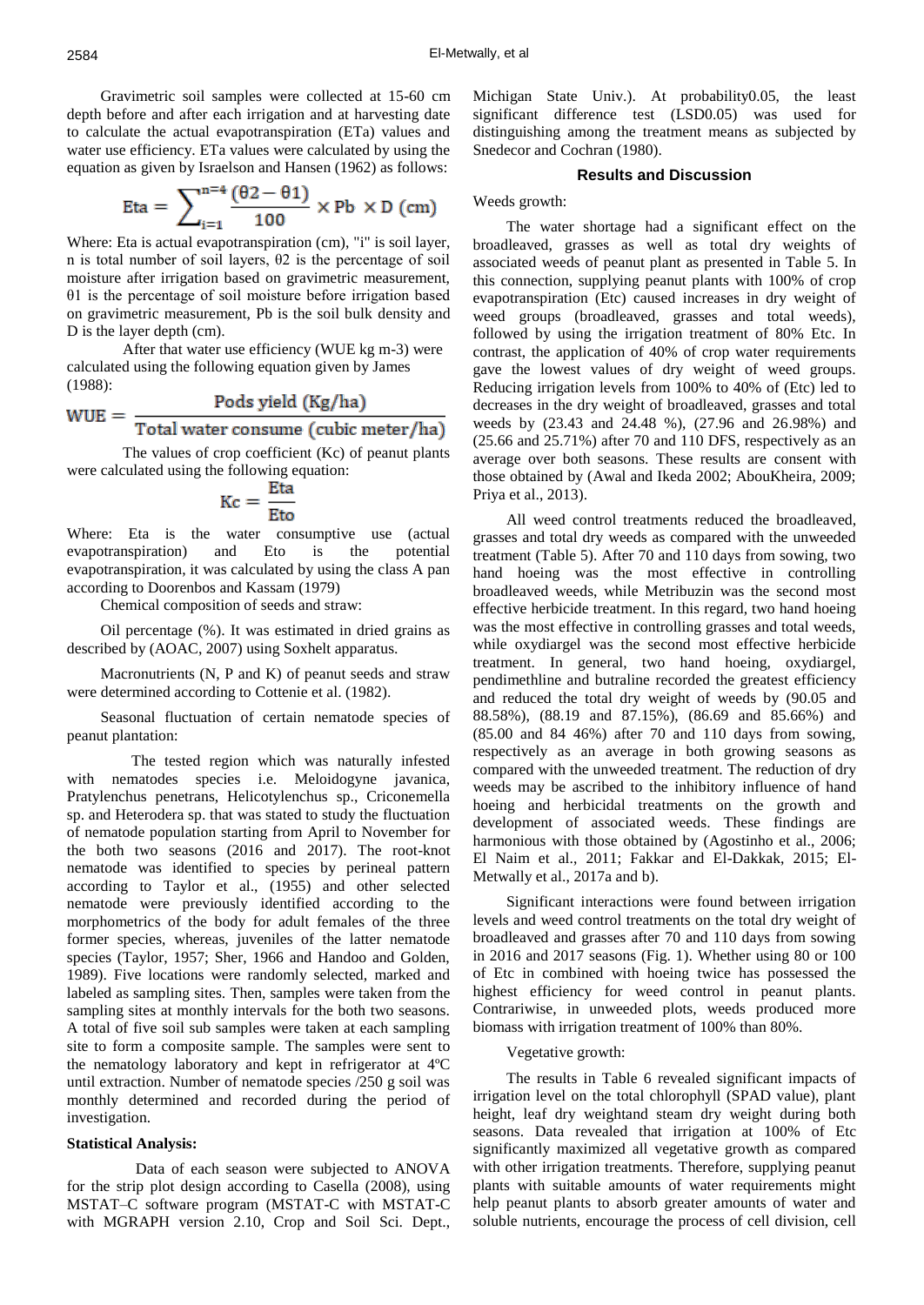Gravimetric soil samples were collected at 15-60 cm depth before and after each irrigation and at harvesting date to calculate the actual evapotranspiration (ETa) values and water use efficiency. ETa values were calculated by using the equation as given by Israelson and Hansen (1962) as follows:

$$
\text{Eta} = \sum_{i=1}^{n=4} \frac{(\theta 2 - \theta 1)}{100} \times \text{Pb} \times \text{D (cm)}
$$

Where: Eta is actual evapotranspiration (cm), "i" is soil layer, n is total number of soil layers, θ2 is the percentage of soil moisture after irrigation based on gravimetric measurement, θ1 is the percentage of soil moisture before irrigation based on gravimetric measurement, Pb is the soil bulk density and D is the layer depth (cm).

After that water use efficiency (WUE kg m-3) were calculated using the following equation given by James (1988):

$$
WUE = \frac{1 \text{ days}}{\text{Total water consume (cubic meter/ha)}}
$$

The values of crop coefficient (Kc) of peanut plants were calculated using the following equation:

$$
Kc = \frac{Eta}{Eto}
$$

Where: Eta is the water consumptive use (actual evapotranspiration) and Eto is the potential evapotranspiration, it was calculated by using the class A pan according to Doorenbos and Kassam (1979)

Chemical composition of seeds and straw:

Oil percentage (%). It was estimated in dried grains as described by (AOAC, 2007) using Soxhelt apparatus.

Macronutrients (N, P and K) of peanut seeds and straw were determined according to Cottenie et al. (1982).

Seasonal fluctuation of certain nematode species of peanut plantation:

 The tested region which was naturally infested with nematodes species i.e. Meloidogyne javanica, Pratylenchus penetrans, Helicotylenchus sp., Criconemella sp. and Heterodera sp. that was stated to study the fluctuation of nematode population starting from April to November for the both two seasons (2016 and 2017). The root-knot nematode was identified to species by perineal pattern according to Taylor et al., (1955) and other selected nematode were previously identified according to the morphometrics of the body for adult females of the three former species, whereas, juveniles of the latter nematode species (Taylor, 1957; Sher, 1966 and Handoo and Golden, 1989). Five locations were randomly selected, marked and labeled as sampling sites. Then, samples were taken from the sampling sites at monthly intervals for the both two seasons. A total of five soil sub samples were taken at each sampling site to form a composite sample. The samples were sent to the nematology laboratory and kept in refrigerator at 4ºC until extraction. Number of nematode species /250 g soil was monthly determined and recorded during the period of investigation.

# **Statistical Analysis:**

 Data of each season were subjected to ANOVA for the strip plot design according to Casella (2008), using MSTAT–C software program (MSTAT-C with MSTAT-C with MGRAPH version 2.10, Crop and Soil Sci. Dept., Michigan State Univ.). At probability0.05, the least significant difference test (LSD0.05) was used for distinguishing among the treatment means as subjected by Snedecor and Cochran (1980).

# **Results and Discussion**

Weeds growth:

The water shortage had a significant effect on the broadleaved, grasses as well as total dry weights of associated weeds of peanut plant as presented in Table 5. In this connection, supplying peanut plants with 100% of crop evapotranspiration (Etc) caused increases in dry weight of weed groups (broadleaved, grasses and total weeds), followed by using the irrigation treatment of 80% Etc. In contrast, the application of 40% of crop water requirements gave the lowest values of dry weight of weed groups. Reducing irrigation levels from 100% to 40% of (Etc) led to decreases in the dry weight of broadleaved, grasses and total weeds by (23.43 and 24.48 %), (27.96 and 26.98%) and (25.66 and 25.71%) after 70 and 110 DFS, respectively as an average over both seasons. These results are consent with those obtained by (Awal and Ikeda 2002; AbouKheira, 2009; Priya et al., 2013).

All weed control treatments reduced the broadleaved, grasses and total dry weeds as compared with the unweeded treatment (Table 5). After 70 and 110 days from sowing, two hand hoeing was the most effective in controlling broadleaved weeds, while Metribuzin was the second most effective herbicide treatment. In this regard, two hand hoeing was the most effective in controlling grasses and total weeds, while oxydiargel was the second most effective herbicide treatment. In general, two hand hoeing, oxydiargel, pendimethline and butraline recorded the greatest efficiency and reduced the total dry weight of weeds by (90.05 and 88.58%), (88.19 and 87.15%), (86.69 and 85.66%) and (85.00 and 84 46%) after 70 and 110 days from sowing, respectively as an average in both growing seasons as compared with the unweeded treatment. The reduction of dry weeds may be ascribed to the inhibitory influence of hand hoeing and herbicidal treatments on the growth and development of associated weeds. These findings are harmonious with those obtained by (Agostinho et al., 2006; El Naim et al., 2011; Fakkar and El-Dakkak, 2015; El-Metwally et al., 2017a and b).

Significant interactions were found between irrigation levels and weed control treatments on the total dry weight of broadleaved and grasses after 70 and 110 days from sowing in 2016 and 2017 seasons (Fig. 1). Whether using 80 or 100 of Etc in combined with hoeing twice has possessed the highest efficiency for weed control in peanut plants. Contrariwise, in unweeded plots, weeds produced more biomass with irrigation treatment of 100% than 80%.

### Vegetative growth:

The results in Table 6 revealed significant impacts of irrigation level on the total chlorophyll (SPAD value), plant height, leaf dry weightand steam dry weight during both seasons. Data revealed that irrigation at 100% of Etc significantly maximized all vegetative growth as compared with other irrigation treatments. Therefore, supplying peanut plants with suitable amounts of water requirements might help peanut plants to absorb greater amounts of water and soluble nutrients, encourage the process of cell division, cell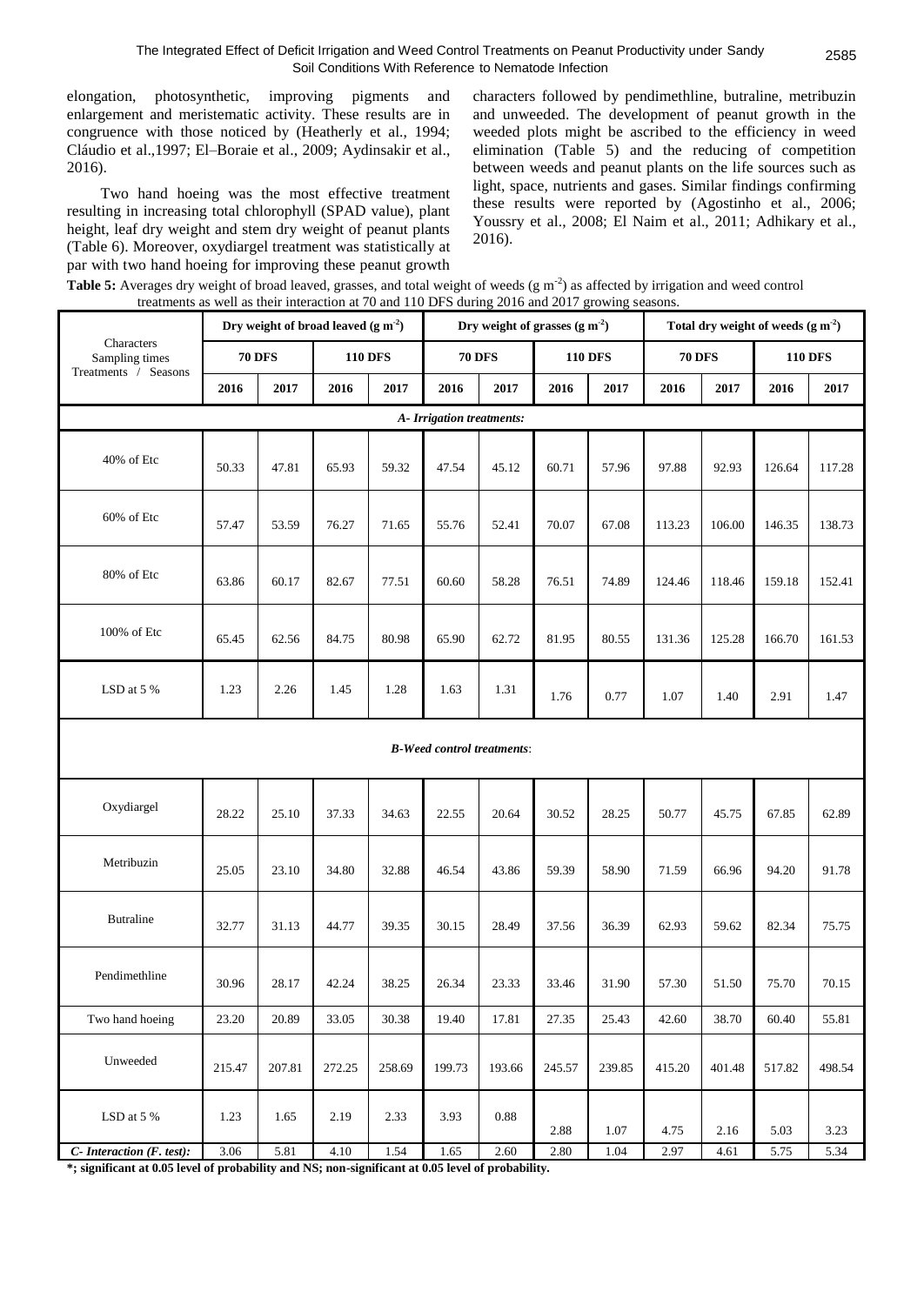elongation, photosynthetic, improving pigments and enlargement and meristematic activity. These results are in congruence with those noticed by (Heatherly et al., 1994; Cláudio et al.,1997; El–Boraie et al., 2009; Aydinsakir et al., 2016).

Two hand hoeing was the most effective treatment resulting in increasing total chlorophyll (SPAD value), plant height, leaf dry weight and stem dry weight of peanut plants (Table 6). Moreover, oxydiargel treatment was statistically at par with two hand hoeing for improving these peanut growth characters followed by pendimethline, butraline, metribuzin and unweeded. The development of peanut growth in the weeded plots might be ascribed to the efficiency in weed elimination (Table 5) and the reducing of competition between weeds and peanut plants on the life sources such as light, space, nutrients and gases. Similar findings confirming these results were reported by (Agostinho et al., 2006; Youssry et al., 2008; El Naim et al., 2011; Adhikary et al., 2016).

| Table 5: Averages dry weight of broad leaved, grasses, and total weight of weeds (g m <sup>-2</sup> ) as affected by irrigation and weed control |  |
|--------------------------------------------------------------------------------------------------------------------------------------------------|--|
| treatments as well as their interaction at 70 and 110 DFS during 2016 and 2017 growing seasons.                                                  |  |

|                              |        | Dry weight of broad leaved $(g m-2)$ |        |                |                           | Dry weight of grasses $(g m-2)$   |          |                |               |        | Total dry weight of weeds $(g m-2)$ |                |
|------------------------------|--------|--------------------------------------|--------|----------------|---------------------------|-----------------------------------|----------|----------------|---------------|--------|-------------------------------------|----------------|
| Characters<br>Sampling times |        | <b>70 DFS</b>                        |        | <b>110 DFS</b> |                           | <b>70 DFS</b>                     |          | <b>110 DFS</b> | <b>70 DFS</b> |        |                                     | <b>110 DFS</b> |
| Treatments / Seasons         | 2016   | 2017                                 | 2016   | 2017           | 2016                      | 2017                              | 2016     | 2017           | 2016          | 2017   | 2016                                | 2017           |
|                              |        |                                      |        |                | A- Irrigation treatments: |                                   |          |                |               |        |                                     |                |
| 40% of Etc                   | 50.33  | 47.81                                | 65.93  | 59.32          | 47.54                     | 45.12                             | 60.71    | 57.96          | 97.88         | 92.93  | 126.64                              | 117.28         |
| 60% of Etc                   | 57.47  | 53.59                                | 76.27  | 71.65          | 55.76                     | 52.41                             | 70.07    | 67.08          | 113.23        | 106.00 | 146.35                              | 138.73         |
| 80% of Etc                   | 63.86  | 60.17                                | 82.67  | 77.51          | 60.60                     | 58.28                             | 76.51    | 74.89          | 124.46        | 118.46 | 159.18                              | 152.41         |
| 100% of Etc                  | 65.45  | 62.56                                | 84.75  | 80.98          | 65.90                     | 62.72                             | 81.95    | 80.55          | 131.36        | 125.28 | 166.70                              | 161.53         |
| LSD at $5%$                  | 1.23   | 2.26                                 | 1.45   | 1.28           | 1.63                      | 1.31                              | 1.76     | 0.77           | 1.07          | 1.40   | 2.91                                | 1.47           |
|                              |        |                                      |        |                |                           | <b>B-Weed control treatments:</b> |          |                |               |        |                                     |                |
| Oxydiargel                   | 28.22  | 25.10                                | 37.33  | 34.63          | 22.55                     | 20.64                             | 30.52    | 28.25          | 50.77         | 45.75  | 67.85                               | 62.89          |
| Metribuzin                   | 25.05  | 23.10                                | 34.80  | 32.88          | 46.54                     | 43.86                             | 59.39    | 58.90          | 71.59         | 66.96  | 94.20                               | 91.78          |
| <b>Butraline</b>             | 32.77  | 31.13                                | 44.77  | 39.35          | 30.15                     | 28.49                             | 37.56    | 36.39          | 62.93         | 59.62  | 82.34                               | 75.75          |
| Pendimethline                | 30.96  | 28.17                                | 42.24  | 38.25          | 26.34                     | 23.33                             | 33.46    | 31.90          | 57.30         | 51.50  | 75.70                               | 70.15          |
| Two hand hoeing              | 23.20  | 20.89                                | 33.05  | 30.38          | 19.40                     | 17.81                             | 27.35    | 25.43          | 42.60         | 38.70  | 60.40                               | 55.81          |
| Unweeded                     | 215.47 | 207.81                               | 272.25 | 258.69         | 199.73                    | 193.66                            | 245.57   | 239.85         | 415.20        | 401.48 | 517.82                              | 498.54         |
| LSD at 5 $\%$                | 1.23   | 1.65                                 | 2.19   | 2.33           | 3.93                      | 0.88                              | 2.88     | 1.07           | 4.75          | 2.16   | 5.03                                | 3.23           |
| C- Interaction (F. test):    | 3.06   | 5.81                                 | 4.10   | 1.54           | 1.65                      | 2.60                              | $2.80\,$ | 1.04           | 2.97          | 4.61   | 5.75                                | 5.34           |

**\*; significant at 0.05 level of probability and NS; non-significant at 0.05 level of probability.**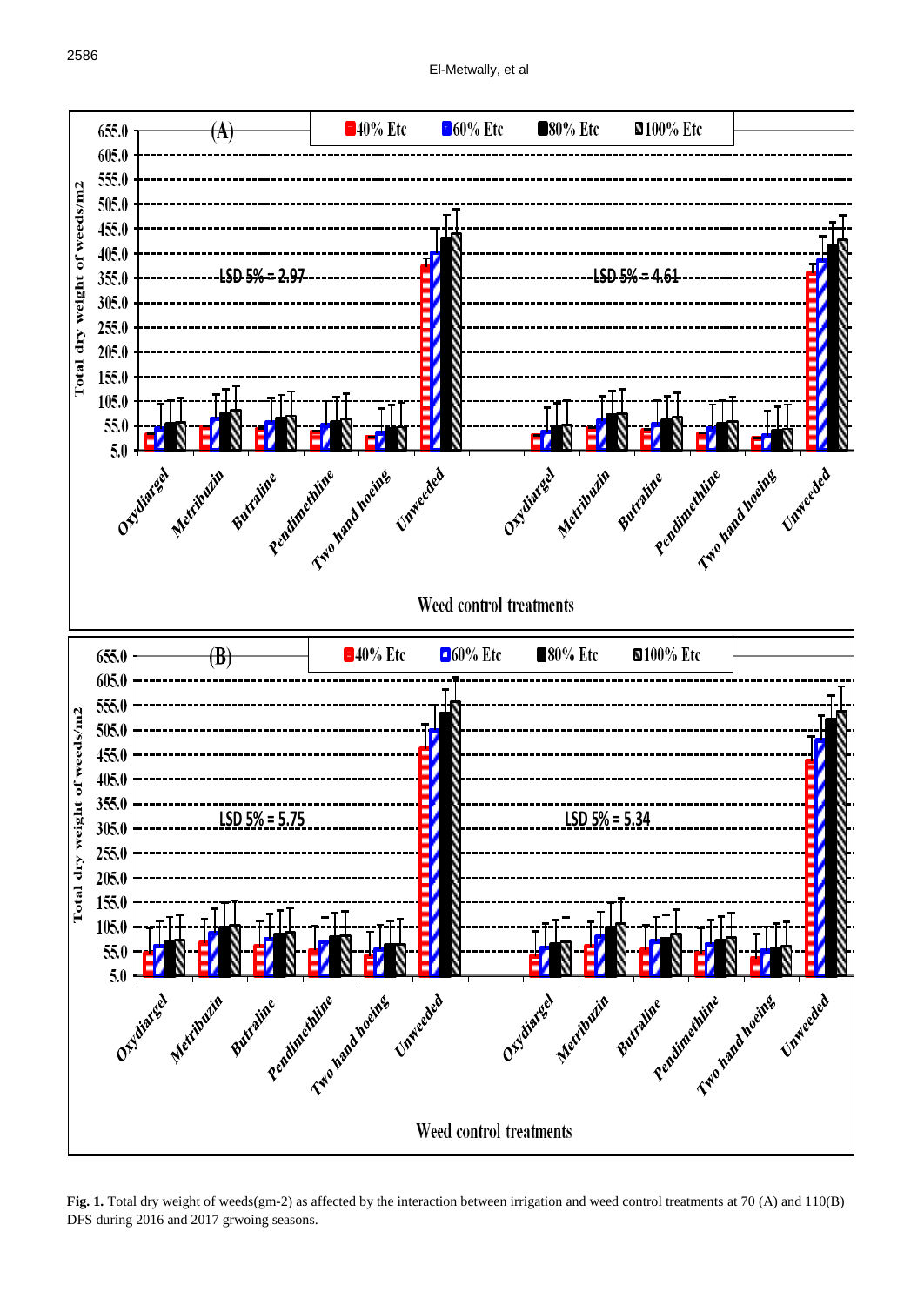

 $\frac{1}{2017}$  growing seasons. DFS during 2016 and 2017 grwoing seasons.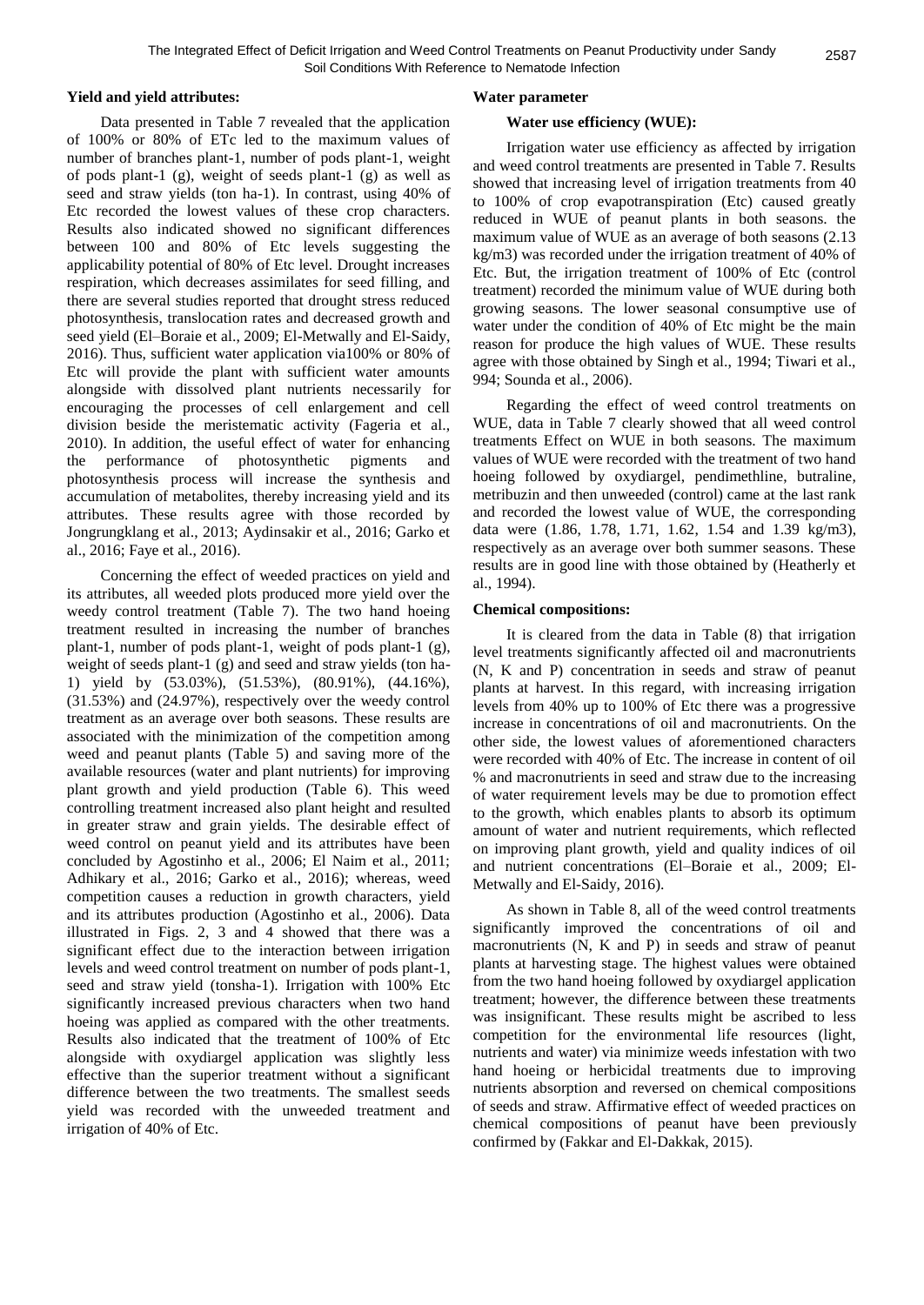# **Yield and yield attributes:**

Data presented in Table 7 revealed that the application of 100% or 80% of ETc led to the maximum values of number of branches plant-1, number of pods plant-1, weight of pods plant-1 (g), weight of seeds plant-1 (g) as well as seed and straw yields (ton ha-1). In contrast, using 40% of Etc recorded the lowest values of these crop characters. Results also indicated showed no significant differences between 100 and 80% of Etc levels suggesting the applicability potential of 80% of Etc level. Drought increases respiration, which decreases assimilates for seed filling, and there are several studies reported that drought stress reduced photosynthesis, translocation rates and decreased growth and seed yield (El–Boraie et al., 2009; El-Metwally and El-Saidy, 2016). Thus, sufficient water application via100% or 80% of Etc will provide the plant with sufficient water amounts alongside with dissolved plant nutrients necessarily for encouraging the processes of cell enlargement and cell division beside the meristematic activity (Fageria et al., 2010). In addition, the useful effect of water for enhancing the performance of photosynthetic pigments and photosynthesis process will increase the synthesis and accumulation of metabolites, thereby increasing yield and its attributes. These results agree with those recorded by Jongrungklang et al., 2013; Aydinsakir et al., 2016; Garko et al., 2016; Faye et al., 2016).

Concerning the effect of weeded practices on yield and its attributes, all weeded plots produced more yield over the weedy control treatment (Table 7). The two hand hoeing treatment resulted in increasing the number of branches plant-1, number of pods plant-1, weight of pods plant-1 (g), weight of seeds plant-1 (g) and seed and straw yields (ton ha-1) yield by (53.03%), (51.53%), (80.91%), (44.16%), (31.53%) and (24.97%), respectively over the weedy control treatment as an average over both seasons. These results are associated with the minimization of the competition among weed and peanut plants (Table 5) and saving more of the available resources (water and plant nutrients) for improving plant growth and yield production (Table 6). This weed controlling treatment increased also plant height and resulted in greater straw and grain yields. The desirable effect of weed control on peanut yield and its attributes have been concluded by Agostinho et al., 2006; El Naim et al., 2011; Adhikary et al., 2016; Garko et al., 2016); whereas, weed competition causes a reduction in growth characters, yield and its attributes production (Agostinho et al., 2006). Data illustrated in Figs. 2, 3 and 4 showed that there was a significant effect due to the interaction between irrigation levels and weed control treatment on number of pods plant-1, seed and straw yield (tonsha-1). Irrigation with 100% Etc significantly increased previous characters when two hand hoeing was applied as compared with the other treatments. Results also indicated that the treatment of 100% of Etc alongside with oxydiargel application was slightly less effective than the superior treatment without a significant difference between the two treatments. The smallest seeds yield was recorded with the unweeded treatment and irrigation of 40% of Etc.

# **Water parameter**

### **Water use efficiency (WUE):**

Irrigation water use efficiency as affected by irrigation and weed control treatments are presented in Table 7. Results showed that increasing level of irrigation treatments from 40 to 100% of crop evapotranspiration (Etc) caused greatly reduced in WUE of peanut plants in both seasons. the maximum value of WUE as an average of both seasons (2.13 kg/m3) was recorded under the irrigation treatment of 40% of Etc. But, the irrigation treatment of 100% of Etc (control treatment) recorded the minimum value of WUE during both growing seasons. The lower seasonal consumptive use of water under the condition of 40% of Etc might be the main reason for produce the high values of WUE. These results agree with those obtained by Singh et al., 1994; Tiwari et al., 994; Sounda et al., 2006).

Regarding the effect of weed control treatments on WUE, data in Table 7 clearly showed that all weed control treatments Effect on WUE in both seasons. The maximum values of WUE were recorded with the treatment of two hand hoeing followed by oxydiargel, pendimethline, butraline, metribuzin and then unweeded (control) came at the last rank and recorded the lowest value of WUE, the corresponding data were (1.86, 1.78, 1.71, 1.62, 1.54 and 1.39 kg/m3), respectively as an average over both summer seasons. These results are in good line with those obtained by (Heatherly et al., 1994).

## **Chemical compositions:**

It is cleared from the data in Table (8) that irrigation level treatments significantly affected oil and macronutrients (N, K and P) concentration in seeds and straw of peanut plants at harvest. In this regard, with increasing irrigation levels from 40% up to 100% of Etc there was a progressive increase in concentrations of oil and macronutrients. On the other side, the lowest values of aforementioned characters were recorded with 40% of Etc. The increase in content of oil % and macronutrients in seed and straw due to the increasing of water requirement levels may be due to promotion effect to the growth, which enables plants to absorb its optimum amount of water and nutrient requirements, which reflected on improving plant growth, yield and quality indices of oil and nutrient concentrations (El–Boraie et al., 2009; El-Metwally and El-Saidy, 2016).

As shown in Table 8, all of the weed control treatments significantly improved the concentrations of oil and macronutrients (N, K and P) in seeds and straw of peanut plants at harvesting stage. The highest values were obtained from the two hand hoeing followed by oxydiargel application treatment; however, the difference between these treatments was insignificant. These results might be ascribed to less competition for the environmental life resources (light, nutrients and water) via minimize weeds infestation with two hand hoeing or herbicidal treatments due to improving nutrients absorption and reversed on chemical compositions of seeds and straw. Affirmative effect of weeded practices on chemical compositions of peanut have been previously confirmed by (Fakkar and El-Dakkak, 2015).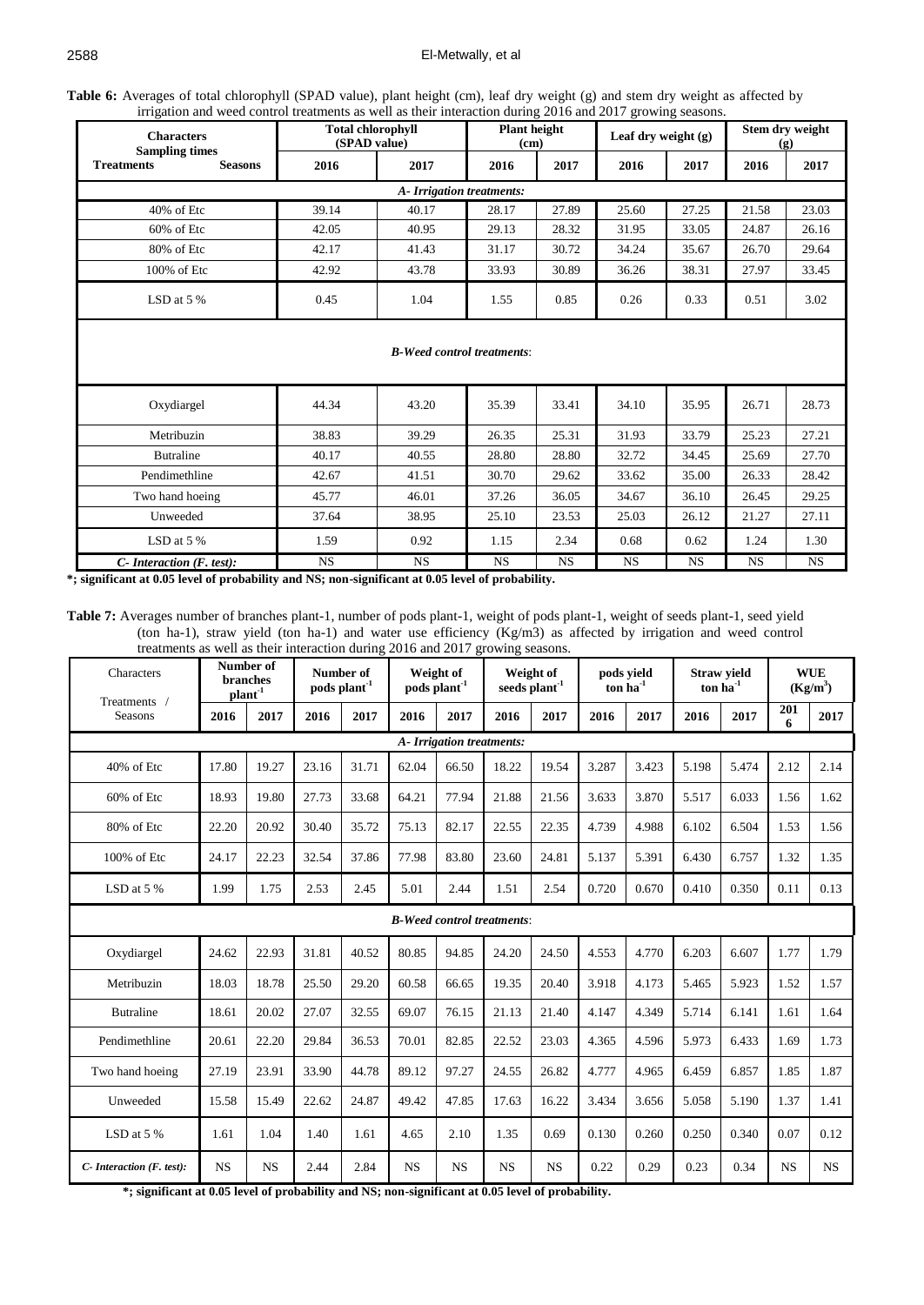# El-Metwally, et al

**Table 6:** Averages of total chlorophyll (SPAD value), plant height (cm), leaf dry weight (g) and stem dry weight as affected by irrigation and weed control treatments as well as their interaction during 2016 and 2017 growing seasons.

| <b>Characters</b><br><b>Sampling times</b> |                                   | <b>Total chlorophyll</b><br>(SPAD value) | <b>Plant height</b><br>(c <sub>m</sub> ) |       | Leaf dry weight $(g)$ |       | Stem dry weight<br>$\left( \mathbf{g} \right)$ |       |       |  |  |  |  |
|--------------------------------------------|-----------------------------------|------------------------------------------|------------------------------------------|-------|-----------------------|-------|------------------------------------------------|-------|-------|--|--|--|--|
| <b>Treatments</b>                          | <b>Seasons</b>                    | 2016                                     | 2017                                     | 2016  | 2017                  | 2016  | 2017                                           | 2016  | 2017  |  |  |  |  |
|                                            |                                   |                                          | A- Irrigation treatments:                |       |                       |       |                                                |       |       |  |  |  |  |
| 40% of Etc                                 |                                   | 39.14                                    | 40.17                                    | 28.17 | 27.89                 | 25.60 | 27.25                                          | 21.58 | 23.03 |  |  |  |  |
| $60\%$ of Etc                              |                                   | 42.05                                    | 40.95                                    | 29.13 | 28.32                 | 31.95 | 33.05                                          | 24.87 | 26.16 |  |  |  |  |
| 80% of Etc                                 |                                   | 42.17                                    | 41.43                                    | 31.17 | 30.72                 | 34.24 | 35.67                                          | 26.70 | 29.64 |  |  |  |  |
| 100% of Etc                                |                                   | 42.92                                    | 43.78                                    | 33.93 | 30.89                 |       | 38.31<br>36.26                                 |       | 33.45 |  |  |  |  |
| LSD at $5%$                                |                                   | 0.45                                     |                                          | 1.55  | 0.85                  | 0.26  | 0.33                                           | 0.51  | 3.02  |  |  |  |  |
|                                            | <b>B-Weed control treatments:</b> |                                          |                                          |       |                       |       |                                                |       |       |  |  |  |  |
| Oxydiargel                                 |                                   | 44.34                                    | 43.20                                    | 35.39 | 33.41                 | 34.10 | 35.95                                          | 26.71 | 28.73 |  |  |  |  |
| Metribuzin                                 |                                   | 38.83                                    | 39.29                                    | 26.35 | 25.31                 | 31.93 | 33.79                                          | 25.23 | 27.21 |  |  |  |  |
| <b>Butraline</b>                           |                                   | 40.17                                    | 40.55                                    | 28.80 | 28.80                 | 32.72 | 34.45                                          | 25.69 | 27.70 |  |  |  |  |
| Pendimethline                              |                                   | 42.67                                    | 41.51                                    | 30.70 | 29.62                 | 33.62 | 35.00                                          | 26.33 | 28.42 |  |  |  |  |

Two hand hoeing 15.77 46.01 37.26 36.05 34.67 36.10 26.45 29.25 Unweeded 37.64 38.95 25.10 23.53 25.03 26.12 21.27 27.11 LSD at 5 % 1.59 0.92 1.15 2.34 0.68 0.62 1.24 1.30

*C-* Interaction (F. test): NS NS NS NS NS NS NS NS NS NS NS NS **\*; significant at 0.05 level of probability and NS; non-significant at 0.05 level of probability.**

**Table 7:** Averages number of branches plant-1, number of pods plant-1, weight of pods plant-1, weight of seeds plant-1, seed yield (ton ha-1), straw yield (ton ha-1) and water use efficiency (Kg/m3) as affected by irrigation and weed control treatments as well as their interaction during 2016 and 2017 growing seasons.

| Characters<br>Treatments / | Number of<br><b>branches</b><br>$\mathbf{plant}^{-1}$ |           | Number of<br>pods plant <sup>-1</sup> |       | Weight of<br>pods plant <sup>-1</sup> |                          | Weight of<br>seeds plant <sup>-1</sup> |           | pods vield<br>ton $ha^{-1}$ |       | <b>Straw vield</b><br>$ton ha-1$ |       | <b>WUE</b><br>(Kg/m <sup>3</sup> ) |           |
|----------------------------|-------------------------------------------------------|-----------|---------------------------------------|-------|---------------------------------------|--------------------------|----------------------------------------|-----------|-----------------------------|-------|----------------------------------|-------|------------------------------------|-----------|
| Seasons                    | 2016                                                  | 2017      | 2016                                  | 2017  | 2016                                  | 2017                     | 2016                                   | 2017      | 2016                        | 2017  | 2016                             | 2017  | 201<br>6                           | 2017      |
|                            |                                                       |           |                                       |       |                                       | A-Irrigation treatments: |                                        |           |                             |       |                                  |       |                                    |           |
| 40% of Etc                 | 17.80                                                 | 19.27     | 23.16                                 | 31.71 | 62.04                                 | 66.50                    | 18.22                                  | 19.54     | 3.287                       | 3.423 | 5.198                            | 5.474 | 2.12                               | 2.14      |
| 60% of Etc                 | 18.93                                                 | 19.80     | 27.73                                 | 33.68 | 64.21                                 | 77.94                    | 21.88                                  | 21.56     | 3.633                       | 3.870 | 5.517                            | 6.033 | 1.56                               | 1.62      |
| 80% of Etc                 | 22.20                                                 | 20.92     | 30.40                                 | 35.72 | 75.13                                 | 82.17                    | 22.55                                  | 22.35     | 4.739                       | 4.988 | 6.102                            | 6.504 | 1.53                               | 1.56      |
| 100% of Etc                | 24.17                                                 | 22.23     | 32.54                                 | 37.86 | 77.98                                 | 83.80                    | 23.60                                  | 24.81     | 5.137                       | 5.391 | 6.430                            | 6.757 | 1.32                               | 1.35      |
| LSD at 5 %                 | 1.99                                                  | 1.75      | 2.53                                  | 2.45  | 5.01                                  | 2.44                     | 1.51                                   | 2.54      | 0.720                       | 0.670 | 0.410                            | 0.350 | 0.11                               | 0.13      |
|                            | <b>B-Weed control treatments:</b>                     |           |                                       |       |                                       |                          |                                        |           |                             |       |                                  |       |                                    |           |
| Oxydiargel                 | 24.62                                                 | 22.93     | 31.81                                 | 40.52 | 80.85                                 | 94.85                    | 24.20                                  | 24.50     | 4.553                       | 4.770 | 6.203                            | 6.607 | 1.77                               | 1.79      |
| Metribuzin                 | 18.03                                                 | 18.78     | 25.50                                 | 29.20 | 60.58                                 | 66.65                    | 19.35                                  | 20.40     | 3.918                       | 4.173 | 5.465                            | 5.923 | 1.52                               | 1.57      |
| <b>Butraline</b>           | 18.61                                                 | 20.02     | 27.07                                 | 32.55 | 69.07                                 | 76.15                    | 21.13                                  | 21.40     | 4.147                       | 4.349 | 5.714                            | 6.141 | 1.61                               | 1.64      |
| Pendimethline              | 20.61                                                 | 22.20     | 29.84                                 | 36.53 | 70.01                                 | 82.85                    | 22.52                                  | 23.03     | 4.365                       | 4.596 | 5.973                            | 6.433 | 1.69                               | 1.73      |
| Two hand hoeing            | 27.19                                                 | 23.91     | 33.90                                 | 44.78 | 89.12                                 | 97.27                    | 24.55                                  | 26.82     | 4.777                       | 4.965 | 6.459                            | 6.857 | 1.85                               | 1.87      |
| Unweeded                   | 15.58                                                 | 15.49     | 22.62                                 | 24.87 | 49.42                                 | 47.85                    | 17.63                                  | 16.22     | 3.434                       | 3.656 | 5.058                            | 5.190 | 1.37                               | 1.41      |
| LSD at 5 %                 | 1.61                                                  | 1.04      | 1.40                                  | 1.61  | 4.65                                  | 2.10                     | 1.35                                   | 0.69      | 0.130                       | 0.260 | 0.250                            | 0.340 | 0.07                               | 0.12      |
| C- Interaction (F. test):  | <b>NS</b>                                             | <b>NS</b> | 2.44                                  | 2.84  | <b>NS</b>                             | <b>NS</b>                | <b>NS</b>                              | <b>NS</b> | 0.22                        | 0.29  | 0.23                             | 0.34  | <b>NS</b>                          | <b>NS</b> |

**\*; significant at 0.05 level of probability and NS; non-significant at 0.05 level of probability.**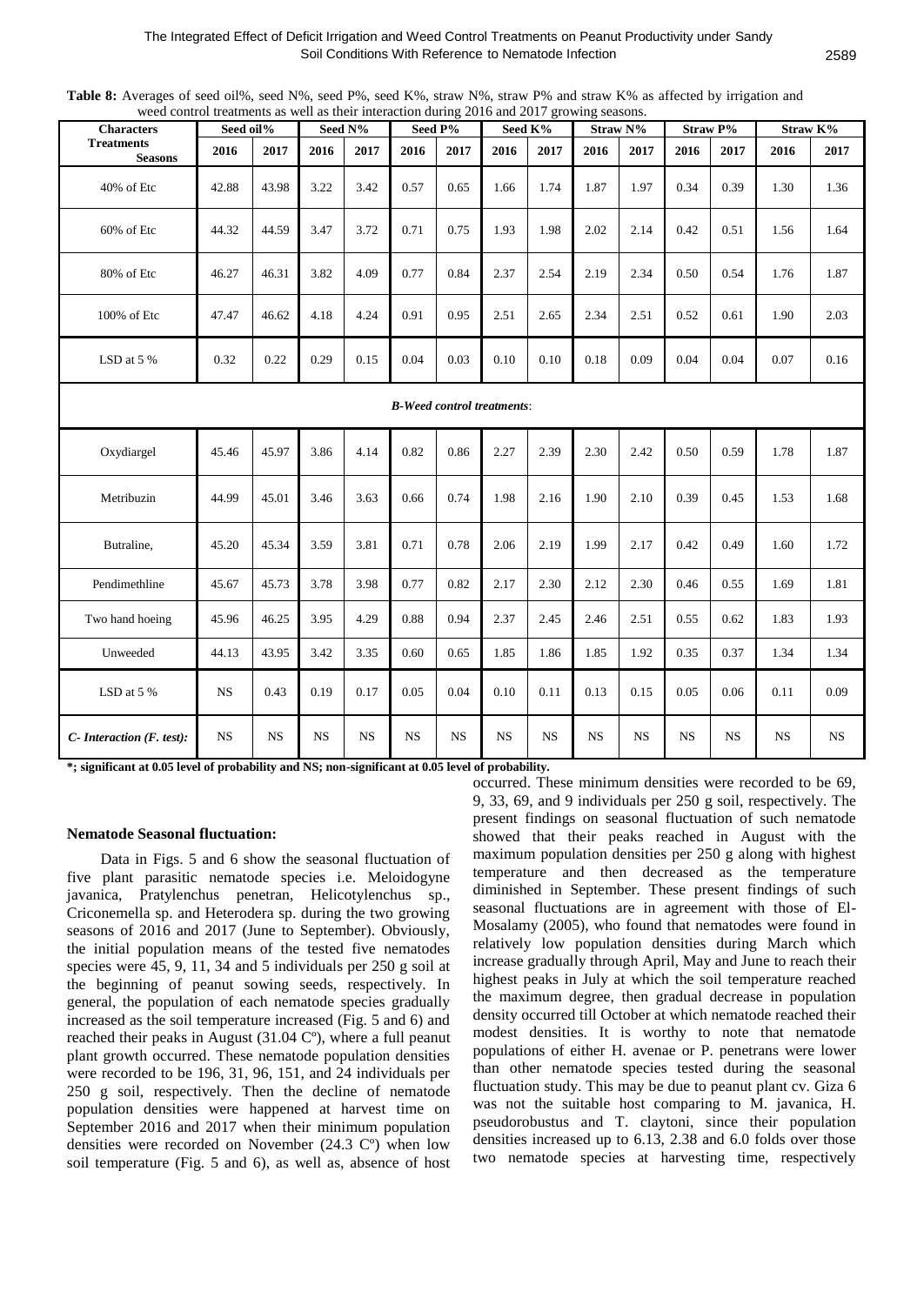**Table 8:** Averages of seed oil%, seed N%, seed P%, seed K%, straw N%, straw P% and straw K% as affected by irrigation and weed control treatments as well as their interaction during 2016 and 2017 growing seasons.

| weed componentations as well as their interaction during 2010 and 2017 growing seasons.<br><b>Characters</b> | Seed oil% |           |           | Seed N%   | Seed P%   |           |           | Seed K%     |           | Straw N%  |           | <b>Straw P%</b> |           | Straw K%  |
|--------------------------------------------------------------------------------------------------------------|-----------|-----------|-----------|-----------|-----------|-----------|-----------|-------------|-----------|-----------|-----------|-----------------|-----------|-----------|
| <b>Treatments</b><br><b>Seasons</b>                                                                          | 2016      | 2017      | 2016      | 2017      | 2016      | 2017      | 2016      | 2017        | 2016      | 2017      | 2016      | 2017            | 2016      | 2017      |
| 40% of Etc                                                                                                   | 42.88     | 43.98     | 3.22      | 3.42      | 0.57      | 0.65      | 1.66      | 1.74        | 1.87      | 1.97      | 0.34      | 0.39            | 1.30      | 1.36      |
| 60% of Etc                                                                                                   | 44.32     | 44.59     | 3.47      | 3.72      | 0.71      | 0.75      | 1.93      | 1.98        | 2.02      | 2.14      | 0.42      | 0.51            | 1.56      | 1.64      |
| 80% of Etc                                                                                                   | 46.27     | 46.31     | 3.82      | 4.09      | 0.77      | 0.84      | 2.37      | 2.54        | 2.19      | 2.34      | 0.50      | 0.54            | 1.76      | 1.87      |
| 100% of Etc                                                                                                  | 47.47     | 46.62     | 4.18      | 4.24      | 0.91      | 0.95      | 2.51      | 2.65        | 2.34      | 2.51      | 0.52      | 0.61            | 1.90      | 2.03      |
| LSD at 5 %                                                                                                   | 0.32      | 0.22      | 0.29      | 0.15      | 0.04      | 0.03      | 0.10      | 0.10        | 0.18      | 0.09      | 0.04      | 0.04            | 0.07      | 0.16      |
| <b>B-Weed control treatments:</b>                                                                            |           |           |           |           |           |           |           |             |           |           |           |                 |           |           |
| Oxydiargel                                                                                                   | 45.46     | 45.97     | 3.86      | 4.14      | 0.82      | 0.86      | 2.27      | 2.39        | 2.30      | 2.42      | 0.50      | 0.59            | 1.78      | 1.87      |
| Metribuzin                                                                                                   | 44.99     | 45.01     | 3.46      | 3.63      | 0.66      | 0.74      | 1.98      | 2.16        | 1.90      | 2.10      | 0.39      | 0.45            | 1.53      | 1.68      |
| Butraline,                                                                                                   | 45.20     | 45.34     | 3.59      | 3.81      | 0.71      | 0.78      | 2.06      | 2.19        | 1.99      | 2.17      | 0.42      | 0.49            | 1.60      | 1.72      |
| Pendimethline                                                                                                | 45.67     | 45.73     | 3.78      | 3.98      | 0.77      | 0.82      | 2.17      | 2.30        | 2.12      | 2.30      | 0.46      | 0.55            | 1.69      | 1.81      |
| Two hand hoeing                                                                                              | 45.96     | 46.25     | 3.95      | 4.29      | 0.88      | 0.94      | 2.37      | 2.45        | 2.46      | 2.51      | 0.55      | 0.62            | 1.83      | 1.93      |
| Unweeded                                                                                                     | 44.13     | 43.95     | 3.42      | 3.35      | 0.60      | 0.65      | 1.85      | 1.86        | 1.85      | 1.92      | 0.35      | 0.37            | 1.34      | 1.34      |
| LSD at 5 %                                                                                                   | <b>NS</b> | 0.43      | 0.19      | 0.17      | 0.05      | 0.04      | 0.10      | 0.11        | 0.13      | 0.15      | 0.05      | 0.06            | 0.11      | 0.09      |
| $C$ - Interaction (F. test):                                                                                 | <b>NS</b> | <b>NS</b> | <b>NS</b> | <b>NS</b> | <b>NS</b> | <b>NS</b> | <b>NS</b> | $_{\rm NS}$ | <b>NS</b> | <b>NS</b> | <b>NS</b> | NS              | <b>NS</b> | <b>NS</b> |

**\*; significant at 0.05 level of probability and NS; non-significant at 0.05 level of probability.**

#### **Nematode Seasonal fluctuation:**

Data in Figs. 5 and 6 show the seasonal fluctuation of five plant parasitic nematode species i.e. Meloidogyne javanica, Pratylenchus penetran, Helicotylenchus sp., Criconemella sp. and Heterodera sp. during the two growing seasons of 2016 and 2017 (June to September). Obviously, the initial population means of the tested five nematodes species were 45, 9, 11, 34 and 5 individuals per 250 g soil at the beginning of peanut sowing seeds, respectively. In general, the population of each nematode species gradually increased as the soil temperature increased (Fig. 5 and 6) and reached their peaks in August (31.04 Cº), where a full peanut plant growth occurred. These nematode population densities were recorded to be 196, 31, 96, 151, and 24 individuals per 250 g soil, respectively. Then the decline of nematode population densities were happened at harvest time on September 2016 and 2017 when their minimum population densities were recorded on November (24.3 Cº) when low soil temperature (Fig. 5 and 6), as well as, absence of host occurred. These minimum densities were recorded to be 69, 9, 33, 69, and 9 individuals per 250 g soil, respectively. The present findings on seasonal fluctuation of such nematode showed that their peaks reached in August with the maximum population densities per 250 g along with highest temperature and then decreased as the temperature diminished in September. These present findings of such seasonal fluctuations are in agreement with those of El-Mosalamy (2005), who found that nematodes were found in relatively low population densities during March which increase gradually through April, May and June to reach their highest peaks in July at which the soil temperature reached the maximum degree, then gradual decrease in population density occurred till October at which nematode reached their modest densities. It is worthy to note that nematode populations of either H. avenae or P. penetrans were lower than other nematode species tested during the seasonal fluctuation study. This may be due to peanut plant cv. Giza 6 was not the suitable host comparing to M. javanica, H. pseudorobustus and T. claytoni, since their population densities increased up to 6.13, 2.38 and 6.0 folds over those two nematode species at harvesting time, respectively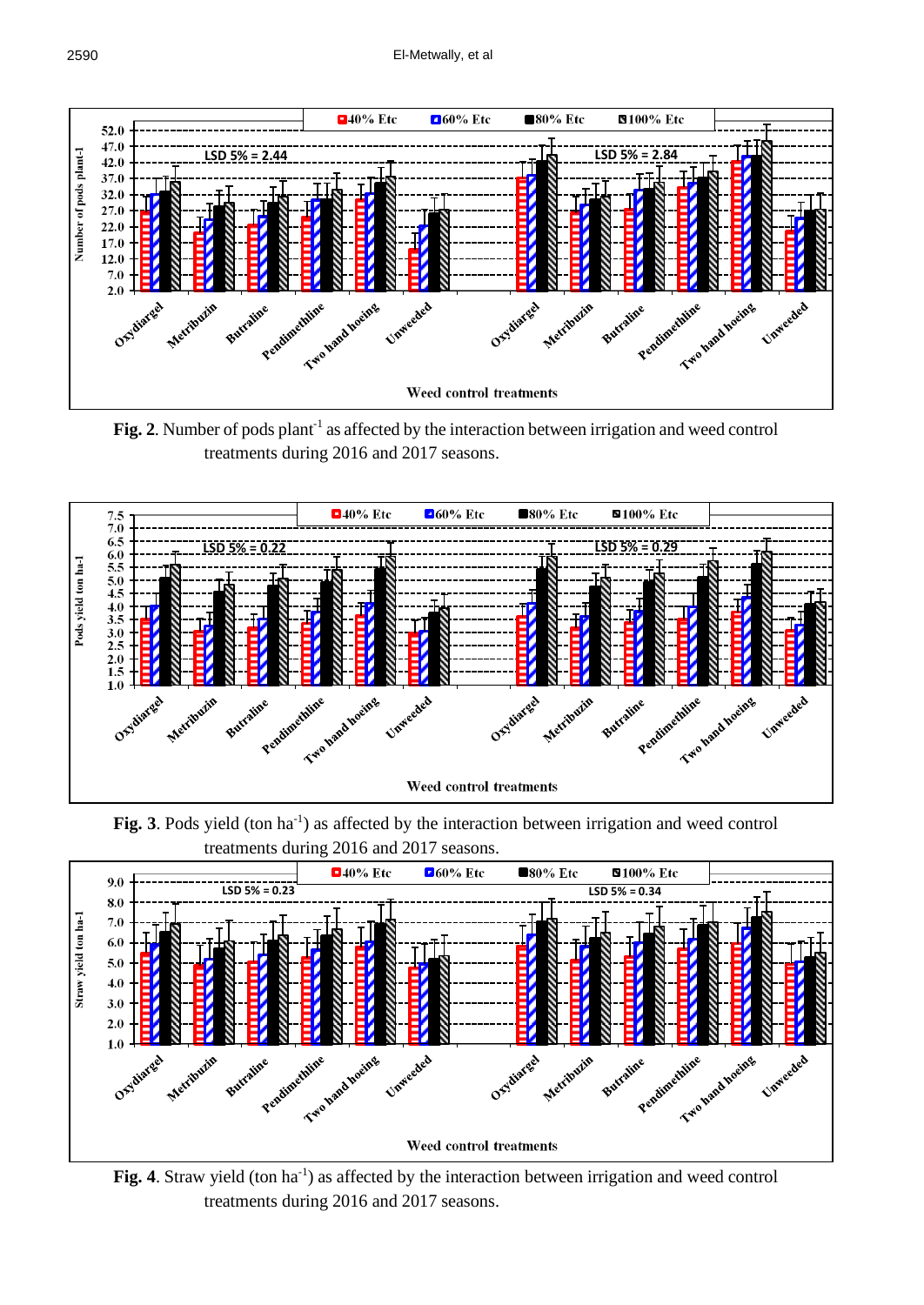

Fig. 2. Number of pods plant<sup>-1</sup> as affected by the interaction between irrigation and weed control treatments during 2016 and 2017 seasons.



Fig. 3. Pods yield (ton ha<sup>-1</sup>) as affected by the interaction between irrigation and weed control treatments during 2016 and 2017 seasons.



Fig. 4. Straw yield (ton ha<sup>-1</sup>) as affected by the interaction between irrigation and weed control treatments during 2016 and 2017 seasons.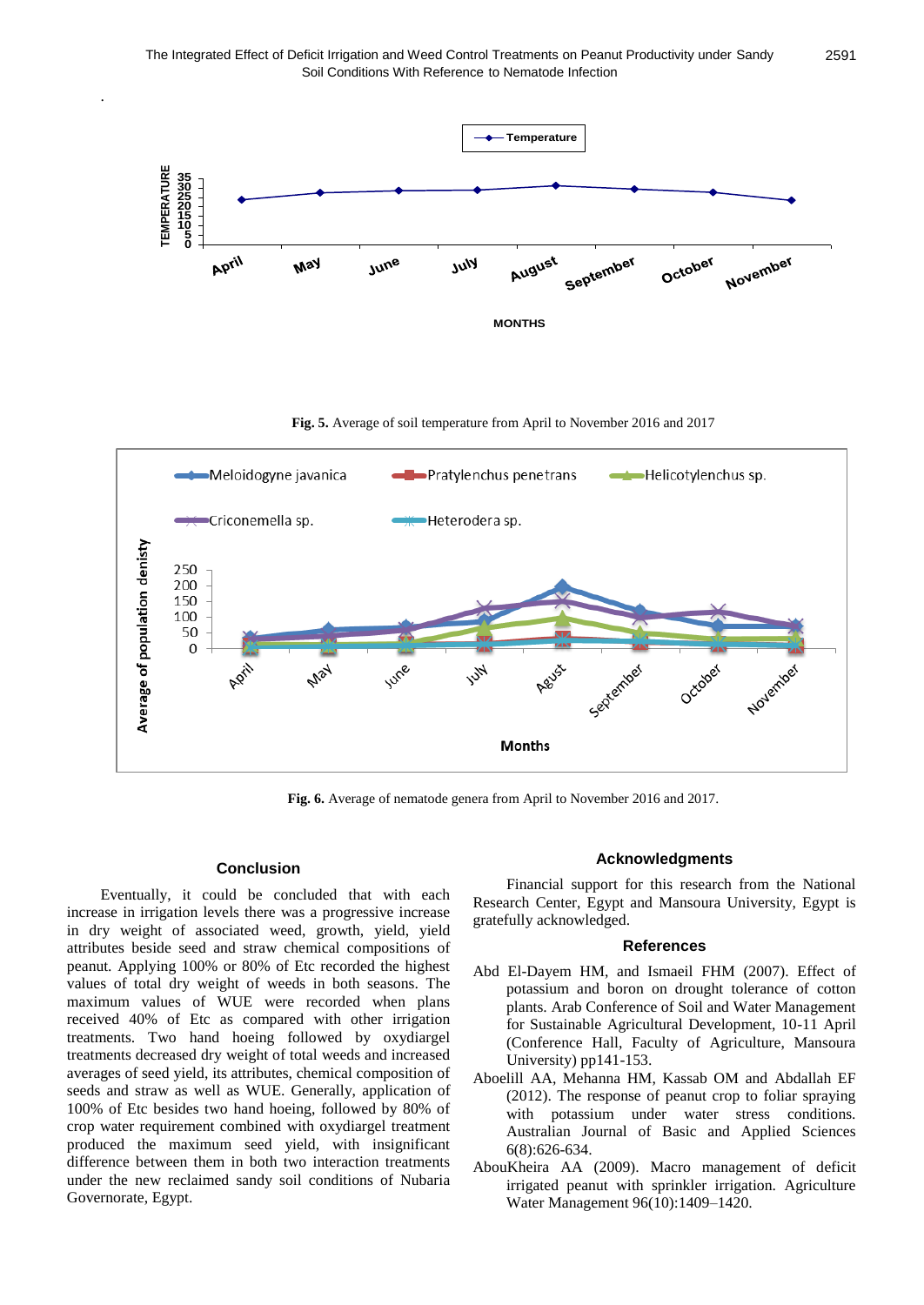

**Fig. 5.** Average of soil temperature from April to November 2016 and 2017



**Fig. 6.** Average of nematode genera from April to November 2016 and 2017.

### **Conclusion**

.

Eventually, it could be concluded that with each increase in irrigation levels there was a progressive increase in dry weight of associated weed, growth, yield, yield attributes beside seed and straw chemical compositions of peanut. Applying 100% or 80% of Etc recorded the highest values of total dry weight of weeds in both seasons. The maximum values of WUE were recorded when plans received 40% of Etc as compared with other irrigation treatments. Two hand hoeing followed by oxydiargel treatments decreased dry weight of total weeds and increased averages of seed yield, its attributes, chemical composition of seeds and straw as well as WUE. Generally, application of 100% of Etc besides two hand hoeing, followed by 80% of crop water requirement combined with oxydiargel treatment produced the maximum seed yield, with insignificant difference between them in both two interaction treatments under the new reclaimed sandy soil conditions of Nubaria Governorate, Egypt.

#### **Acknowledgments**

Financial support for this research from the National Research Center, Egypt and Mansoura University, Egypt is gratefully acknowledged.

# **References**

- Abd El-Dayem HM, and Ismaeil FHM (2007). Effect of potassium and boron on drought tolerance of cotton plants. Arab Conference of Soil and Water Management for Sustainable Agricultural Development, 10-11 April (Conference Hall, Faculty of Agriculture, Mansoura University) pp141-153.
- Aboelill AA, Mehanna HM, Kassab OM and Abdallah EF (2012). The response of peanut crop to foliar spraying with potassium under water stress conditions. Australian Journal of Basic and Applied Sciences 6(8):626-634.
- AbouKheira AA (2009). Macro management of deficit irrigated peanut with sprinkler irrigation. Agriculture Water Management 96(10):1409–1420.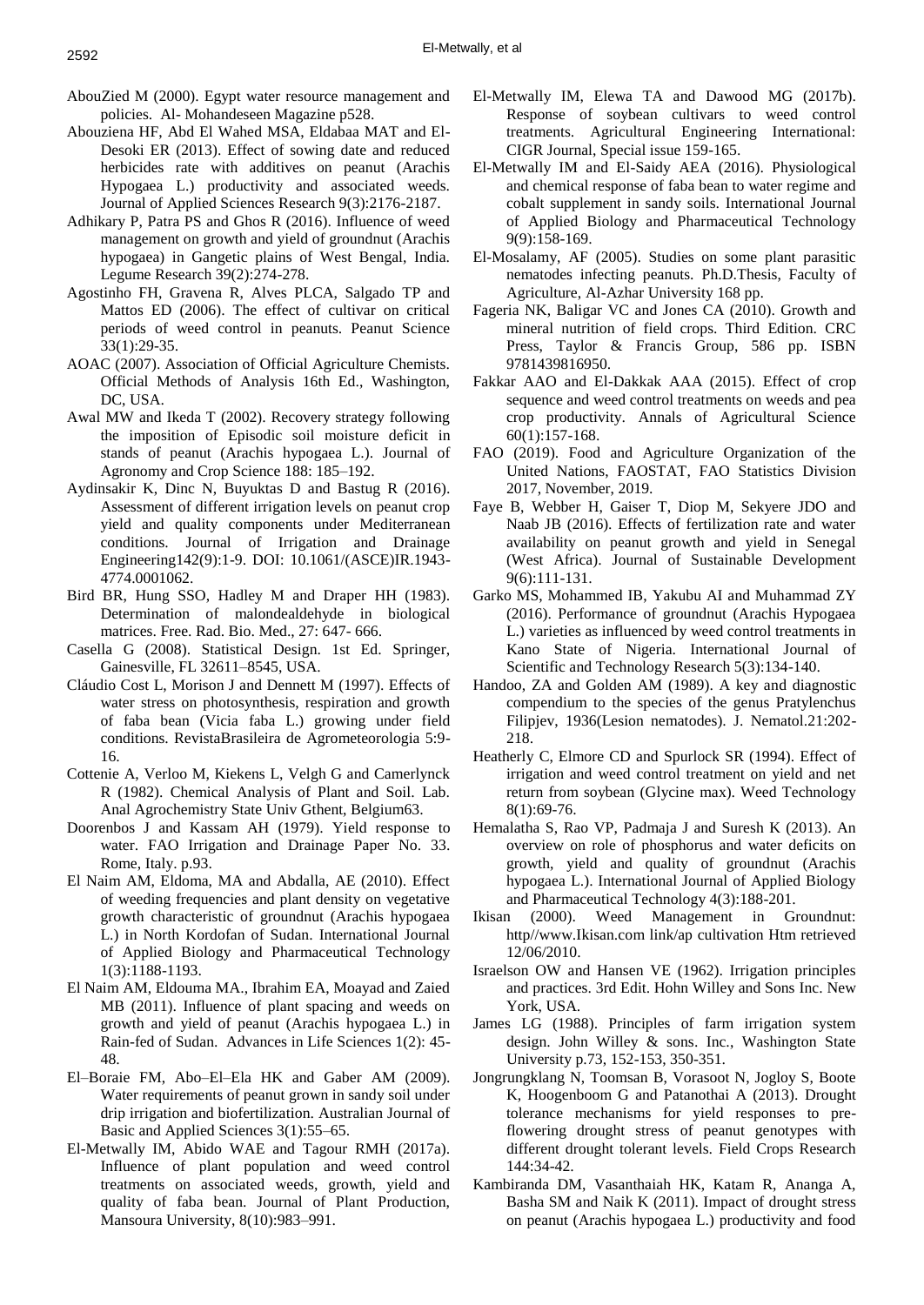- AbouZied M (2000). Egypt water resource management and policies. Al- Mohandeseen Magazine p528.
- Abouziena HF, Abd El Wahed MSA, Eldabaa MAT and El-Desoki ER (2013). Effect of sowing date and reduced herbicides rate with additives on peanut (Arachis Hypogaea L.) productivity and associated weeds. Journal of Applied Sciences Research 9(3):2176-2187.
- Adhikary P, Patra PS and Ghos R (2016). Influence of weed management on growth and yield of groundnut (Arachis hypogaea) in Gangetic plains of West Bengal, India. Legume Research 39(2):274-278.
- Agostinho FH, Gravena R, Alves PLCA, Salgado TP and Mattos ED (2006). The effect of cultivar on critical periods of weed control in peanuts. Peanut Science 33(1):29-35.
- AOAC (2007). Association of Official Agriculture Chemists. Official Methods of Analysis 16th Ed., Washington, DC, USA.
- Awal MW and Ikeda T (2002). Recovery strategy following the imposition of Episodic soil moisture deficit in stands of peanut (Arachis hypogaea L.). Journal of Agronomy and Crop Science 188: 185–192.
- Aydinsakir K, Dinc N, Buyuktas D and Bastug R (2016). Assessment of different irrigation levels on peanut crop yield and quality components under Mediterranean conditions. Journal of Irrigation and Drainage Engineering142(9):1-9. DOI: 10.1061/(ASCE)IR.1943- 4774.0001062.
- Bird BR, Hung SSO, Hadley M and Draper HH (1983). Determination of malondealdehyde in biological matrices. Free. Rad. Bio. Med., 27: 647- 666.
- Casella G (2008). Statistical Design. 1st Ed. Springer, Gainesville, FL 32611–8545, USA.
- Cláudio Cost L, Morison J and Dennett M (1997). Effects of water stress on photosynthesis, respiration and growth of faba bean (Vicia faba L.) growing under field conditions. RevistaBrasileira de Agrometeorologia 5:9- 16.
- Cottenie A, Verloo M, Kiekens L, Velgh G and Camerlynck R (1982). Chemical Analysis of Plant and Soil. Lab. Anal Agrochemistry State Univ Gthent, Belgium63.
- Doorenbos J and Kassam AH (1979). Yield response to water. FAO Irrigation and Drainage Paper No. 33. Rome, Italy. p.93.
- El Naim AM, Eldoma, MA and Abdalla, AE (2010). Effect of weeding frequencies and plant density on vegetative growth characteristic of groundnut (Arachis hypogaea L.) in North Kordofan of Sudan. International Journal of Applied Biology and Pharmaceutical Technology 1(3):1188-1193.
- El Naim AM, Eldouma MA., Ibrahim EA, Moayad and Zaied MB (2011). Influence of plant spacing and weeds on growth and yield of peanut (Arachis hypogaea L.) in Rain-fed of Sudan. Advances in Life Sciences 1(2): 45- 48.
- El–Boraie FM, Abo–El–Ela HK and Gaber AM (2009). Water requirements of peanut grown in sandy soil under drip irrigation and biofertilization. Australian Journal of Basic and Applied Sciences 3(1):55–65.
- El-Metwally IM, Abido WAE and Tagour RMH (2017a). Influence of plant population and weed control treatments on associated weeds, growth, yield and quality of faba bean. Journal of Plant Production, Mansoura University, 8(10):983–991.
- El-Metwally IM, Elewa TA and Dawood MG (2017b). Response of soybean cultivars to weed control treatments. Agricultural Engineering International: CIGR Journal, Special issue 159-165.
- El-Metwally IM and El-Saidy AEA (2016). Physiological and chemical response of faba bean to water regime and cobalt supplement in sandy soils. International Journal of Applied Biology and Pharmaceutical Technology 9(9):158-169.
- El-Mosalamy, AF (2005). Studies on some plant parasitic nematodes infecting peanuts. Ph.D.Thesis, Faculty of Agriculture, Al-Azhar University 168 pp.
- Fageria NK, Baligar VC and Jones CA (2010). Growth and mineral nutrition of field crops. Third Edition. CRC Press, Taylor & Francis Group, 586 pp. ISBN 9781439816950.
- Fakkar AAO and El-Dakkak AAA (2015). Effect of crop sequence and weed control treatments on weeds and pea crop productivity. Annals of Agricultural Science 60(1):157-168.
- FAO (2019). Food and Agriculture Organization of the United Nations, FAOSTAT, FAO Statistics Division 2017, November, 2019.
- Faye B, Webber H, Gaiser T, Diop M, Sekyere JDO and Naab JB (2016). Effects of fertilization rate and water availability on peanut growth and yield in Senegal (West Africa). Journal of Sustainable Development 9(6):111-131.
- Garko MS, Mohammed IB, Yakubu AI and Muhammad ZY (2016). Performance of groundnut (Arachis Hypogaea L.) varieties as influenced by weed control treatments in Kano State of Nigeria. International Journal of Scientific and Technology Research 5(3):134-140.
- Handoo, ZA and Golden AM (1989). A key and diagnostic compendium to the species of the genus Pratylenchus Filipjev, 1936(Lesion nematodes). J. Nematol.21:202- 218.
- Heatherly C, Elmore CD and Spurlock SR (1994). Effect of irrigation and weed control treatment on yield and net return from soybean (Glycine max). Weed Technology 8(1):69-76.
- Hemalatha S, Rao VP, Padmaja J and Suresh K (2013). An overview on role of phosphorus and water deficits on growth, yield and quality of groundnut (Arachis hypogaea L.). International Journal of Applied Biology and Pharmaceutical Technology 4(3):188-201.
- Ikisan (2000). Weed Management in Groundnut: http//www.Ikisan.com link/ap cultivation Htm retrieved 12/06/2010.
- Israelson OW and Hansen VE (1962). Irrigation principles and practices. 3rd Edit. Hohn Willey and Sons Inc. New York, USA.
- James LG (1988). Principles of farm irrigation system design. John Willey & sons. Inc., Washington State University p.73, 152-153, 350-351.
- Jongrungklang N, Toomsan B, Vorasoot N, Jogloy S, Boote K, Hoogenboom G and Patanothai A (2013). Drought tolerance mechanisms for yield responses to preflowering drought stress of peanut genotypes with different drought tolerant levels. Field Crops Research 144:34-42.
- Kambiranda DM, Vasanthaiah HK, Katam R, Ananga A, Basha SM and Naik K (2011). Impact of drought stress on peanut (Arachis hypogaea L.) productivity and food